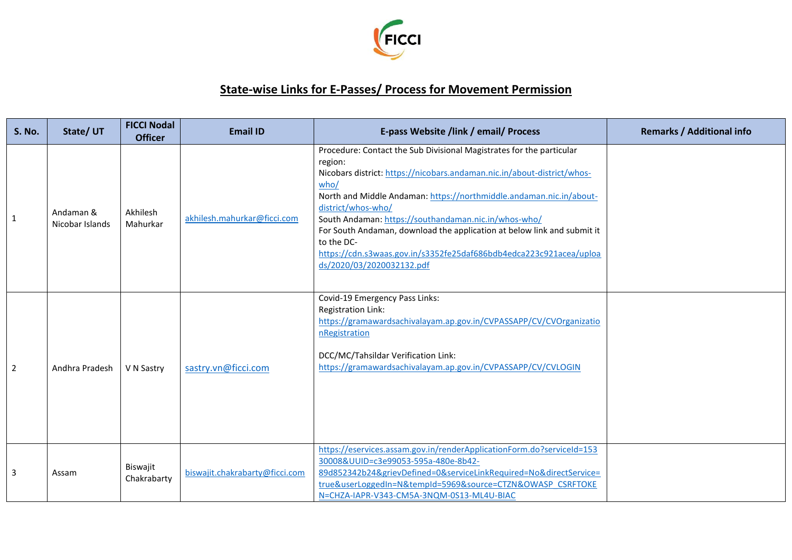

## **State-wise Links for E-Passes/ Process for Movement Permission**

| <b>S. No.</b>  | State/UT                     | <b>FICCI Nodal</b><br><b>Officer</b> | <b>Email ID</b>                | E-pass Website /link / email/ Process                                                                                                                                                                                                                                                                                                                                                                                                                                                                               | <b>Remarks / Additional info</b> |
|----------------|------------------------------|--------------------------------------|--------------------------------|---------------------------------------------------------------------------------------------------------------------------------------------------------------------------------------------------------------------------------------------------------------------------------------------------------------------------------------------------------------------------------------------------------------------------------------------------------------------------------------------------------------------|----------------------------------|
| 1              | Andaman &<br>Nicobar Islands | Akhilesh<br>Mahurkar                 | akhilesh.mahurkar@ficci.com    | Procedure: Contact the Sub Divisional Magistrates for the particular<br>region:<br>Nicobars district: https://nicobars.andaman.nic.in/about-district/whos-<br>who/<br>North and Middle Andaman: https://northmiddle.andaman.nic.in/about-<br>district/whos-who/<br>South Andaman: https://southandaman.nic.in/whos-who/<br>For South Andaman, download the application at below link and submit it<br>to the DC-<br>https://cdn.s3waas.gov.in/s3352fe25daf686bdb4edca223c921acea/uploa<br>ds/2020/03/2020032132.pdf |                                  |
| $\overline{2}$ | Andhra Pradesh               | V N Sastry                           | sastry.vn@ficci.com            | Covid-19 Emergency Pass Links:<br>Registration Link:<br>https://gramawardsachivalayam.ap.gov.in/CVPASSAPP/CV/CVOrganizatio<br>nRegistration<br>DCC/MC/Tahsildar Verification Link:<br>https://gramawardsachivalayam.ap.gov.in/CVPASSAPP/CV/CVLOGIN                                                                                                                                                                                                                                                                  |                                  |
| 3              | Assam                        | Biswajit<br>Chakrabarty              | biswajit.chakrabarty@ficci.com | https://eservices.assam.gov.in/renderApplicationForm.do?serviceId=153<br>30008&UUID=c3e99053-595a-480e-8b42-<br>89d852342b24&grievDefined=0&serviceLinkRequired=No&directService=<br>true&userLoggedIn=N&tempId=5969&source=CTZN&OWASP_CSRFTOKE<br>N=CHZA-IAPR-V343-CM5A-3NQM-0S13-ML4U-BIAC                                                                                                                                                                                                                        |                                  |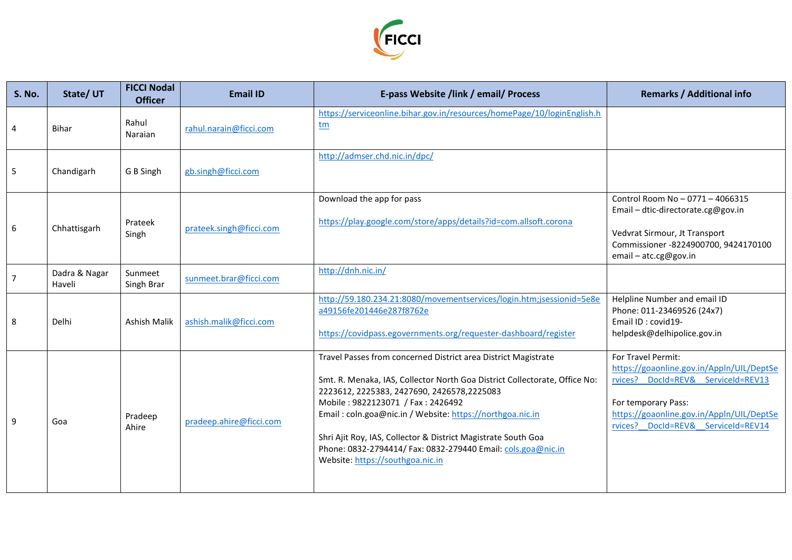

| <b>S. No.</b>  | State/UT                | <b>FICCI Nodal</b><br><b>Officer</b> | <b>Email ID</b>         | E-pass Website /link / email/ Process                                                                                                                                                                                                                                                                                                                                                                                                                              | <b>Remarks / Additional info</b>                                                                                                                                                                                |
|----------------|-------------------------|--------------------------------------|-------------------------|--------------------------------------------------------------------------------------------------------------------------------------------------------------------------------------------------------------------------------------------------------------------------------------------------------------------------------------------------------------------------------------------------------------------------------------------------------------------|-----------------------------------------------------------------------------------------------------------------------------------------------------------------------------------------------------------------|
| $\overline{4}$ | <b>Bihar</b>            | Rahul<br>Naraian                     | rahul.narain@ficci.com  | https://serviceonline.bihar.gov.in/resources/homePage/10/loginEnglish.h<br>tm                                                                                                                                                                                                                                                                                                                                                                                      |                                                                                                                                                                                                                 |
| 5              | Chandigarh              | G B Singh                            | gb.singh@ficci.com      | http://admser.chd.nic.in/dpc/                                                                                                                                                                                                                                                                                                                                                                                                                                      |                                                                                                                                                                                                                 |
| 6              | Chhattisgarh            | Prateek<br>Singh                     | prateek.singh@ficci.com | Download the app for pass<br>https://play.google.com/store/apps/details?id=com.allsoft.corona                                                                                                                                                                                                                                                                                                                                                                      | Control Room No - 0771 - 4066315<br>Email - dtic-directorate.cg@gov.in<br>Vedvrat Sirmour, Jt Transport<br>Commissioner -8224900700, 9424170100<br>email - atc.cg@gov.in                                        |
| $\overline{7}$ | Dadra & Nagar<br>Haveli | Sunmeet<br>Singh Brar                | sunmeet.brar@ficci.com  | http://dnh.nic.in/                                                                                                                                                                                                                                                                                                                                                                                                                                                 |                                                                                                                                                                                                                 |
| 8              | Delhi                   | Ashish Malik                         | ashish.malik@ficci.com  | http://59.180.234.21:8080/movementservices/login.htm;jsessionid=5e8e<br>a49156fe201446e287f8762e<br>https://covidpass.egovernments.org/requester-dashboard/register                                                                                                                                                                                                                                                                                                | Helpline Number and email ID<br>Phone: 011-23469526 (24x7)<br>Email ID: covid19-<br>helpdesk@delhipolice.gov.in                                                                                                 |
| 9              | Goa                     | Pradeep<br>Ahire                     | pradeep.ahire@ficci.com | Travel Passes from concerned District area District Magistrate<br>Smt. R. Menaka, IAS, Collector North Goa District Collectorate, Office No:<br>2223612, 2225383, 2427690, 2426578, 2225083<br>Mobile: 9822123071 / Fax: 2426492<br>Email: coln.goa@nic.in / Website: https://northgoa.nic.in<br>Shri Ajit Roy, IAS, Collector & District Magistrate South Goa<br>Phone: 0832-2794414/ Fax: 0832-279440 Email: cols.goa@nic.in<br>Website: https://southgoa.nic.in | For Travel Permit:<br>https://goaonline.gov.in/Appln/UIL/DeptSe<br>rvices? DocId=REV& ServiceId=REV13<br>For temporary Pass:<br>https://goaonline.gov.in/Appln/UIL/DeptSe<br>rvices? Docld=REV& ServiceId=REV14 |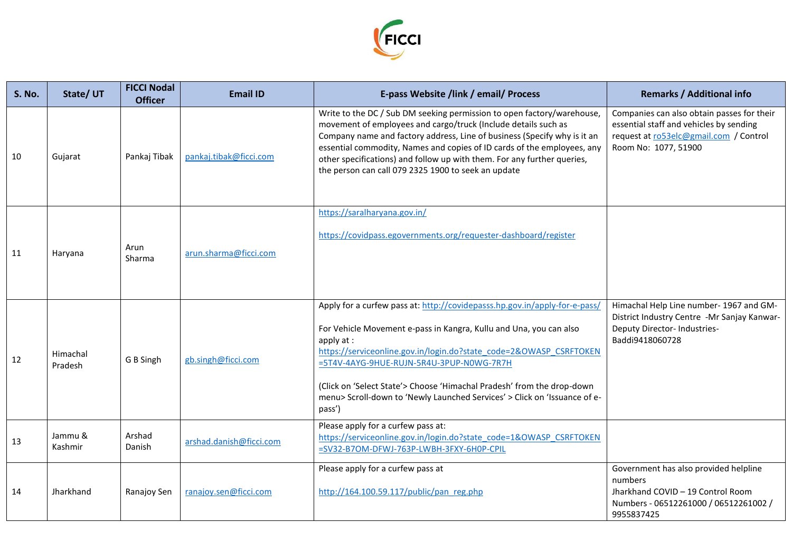

| <b>S. No.</b> | State/UT            | <b>FICCI Nodal</b><br><b>Officer</b> | <b>Email ID</b>         | E-pass Website /link / email/ Process                                                                                                                                                                                                                                                                                                                                                                                                              | <b>Remarks / Additional info</b>                                                                                                                        |
|---------------|---------------------|--------------------------------------|-------------------------|----------------------------------------------------------------------------------------------------------------------------------------------------------------------------------------------------------------------------------------------------------------------------------------------------------------------------------------------------------------------------------------------------------------------------------------------------|---------------------------------------------------------------------------------------------------------------------------------------------------------|
| 10            | Gujarat             | Pankaj Tibak                         | pankaj.tibak@ficci.com  | Write to the DC / Sub DM seeking permission to open factory/warehouse,<br>movement of employees and cargo/truck (Include details such as<br>Company name and factory address, Line of business (Specify why is it an<br>essential commodity, Names and copies of ID cards of the employees, any<br>other specifications) and follow up with them. For any further queries,<br>the person can call 079 2325 1900 to seek an update                  | Companies can also obtain passes for their<br>essential staff and vehicles by sending<br>request at ro53elc@gmail.com / Control<br>Room No: 1077, 51900 |
| 11            | Haryana             | Arun<br>Sharma                       | arun.sharma@ficci.com   | https://saralharyana.gov.in/<br>https://covidpass.egovernments.org/requester-dashboard/register                                                                                                                                                                                                                                                                                                                                                    |                                                                                                                                                         |
| 12            | Himachal<br>Pradesh | G B Singh                            | gb.singh@ficci.com      | Apply for a curfew pass at: http://covidepasss.hp.gov.in/apply-for-e-pass/<br>For Vehicle Movement e-pass in Kangra, Kullu and Una, you can also<br>apply $at:$<br>https://serviceonline.gov.in/login.do?state code=2&OWASP CSRFTOKEN<br>=5T4V-4AYG-9HUE-RUJN-5R4U-3PUP-N0WG-7R7H<br>(Click on 'Select State'> Choose 'Himachal Pradesh' from the drop-down<br>menu> Scroll-down to 'Newly Launched Services' > Click on 'Issuance of e-<br>pass') | Himachal Help Line number- 1967 and GM-<br>District Industry Centre -Mr Sanjay Kanwar-<br>Deputy Director- Industries-<br>Baddi9418060728               |
| 13            | Jammu &<br>Kashmir  | Arshad<br>Danish                     | arshad.danish@ficci.com | Please apply for a curfew pass at:<br>https://serviceonline.gov.in/login.do?state_code=1&OWASP_CSRFTOKEN<br>=SV32-B7OM-DFWJ-763P-LWBH-3FXY-6H0P-CPIL                                                                                                                                                                                                                                                                                               |                                                                                                                                                         |
| 14            | Jharkhand           | Ranajoy Sen                          | ranajoy.sen@ficci.com   | Please apply for a curfew pass at<br>http://164.100.59.117/public/pan reg.php                                                                                                                                                                                                                                                                                                                                                                      | Government has also provided helpline<br>numbers<br>Jharkhand COVID - 19 Control Room<br>Numbers - 06512261000 / 06512261002 /<br>9955837425            |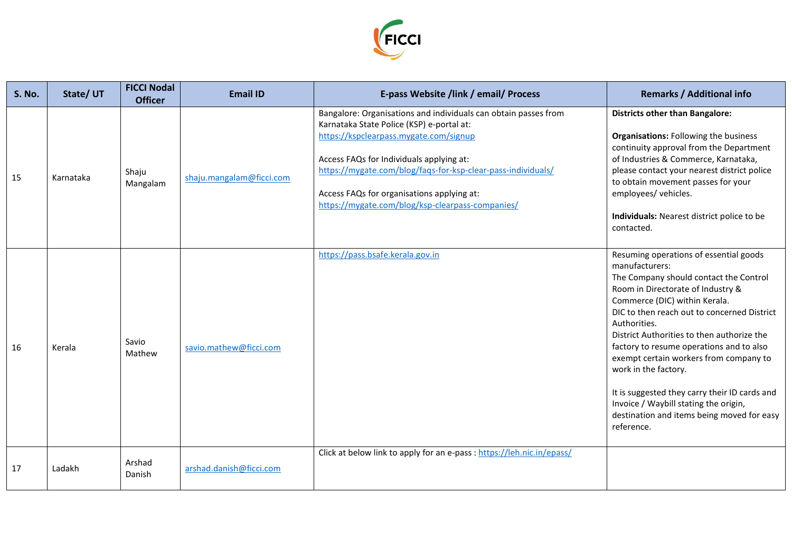

| <b>S. No.</b> | State/UT  | <b>FICCI Nodal</b><br><b>Officer</b> | <b>Email ID</b>          | E-pass Website /link / email/ Process                                                                                                                                                                                                                                                                                                                                | <b>Remarks / Additional info</b>                                                                                                                                                                                                                                                                                                                                                                                                                                                                                                                          |
|---------------|-----------|--------------------------------------|--------------------------|----------------------------------------------------------------------------------------------------------------------------------------------------------------------------------------------------------------------------------------------------------------------------------------------------------------------------------------------------------------------|-----------------------------------------------------------------------------------------------------------------------------------------------------------------------------------------------------------------------------------------------------------------------------------------------------------------------------------------------------------------------------------------------------------------------------------------------------------------------------------------------------------------------------------------------------------|
| 15            | Karnataka | Shaju<br>Mangalam                    | shaju.mangalam@ficci.com | Bangalore: Organisations and individuals can obtain passes from<br>Karnataka State Police (KSP) e-portal at:<br>https://kspclearpass.mygate.com/signup<br>Access FAQs for Individuals applying at:<br>https://mygate.com/blog/faqs-for-ksp-clear-pass-individuals/<br>Access FAQs for organisations applying at:<br>https://mygate.com/blog/ksp-clearpass-companies/ | <b>Districts other than Bangalore:</b><br><b>Organisations: Following the business</b><br>continuity approval from the Department<br>of Industries & Commerce, Karnataka,<br>please contact your nearest district police<br>to obtain movement passes for your<br>employees/ vehicles.<br>Individuals: Nearest district police to be<br>contacted.                                                                                                                                                                                                        |
| 16            | Kerala    | Savio<br>Mathew                      | savio.mathew@ficci.com   | https://pass.bsafe.kerala.gov.in                                                                                                                                                                                                                                                                                                                                     | Resuming operations of essential goods<br>manufacturers:<br>The Company should contact the Control<br>Room in Directorate of Industry &<br>Commerce (DIC) within Kerala.<br>DIC to then reach out to concerned District<br>Authorities.<br>District Authorities to then authorize the<br>factory to resume operations and to also<br>exempt certain workers from company to<br>work in the factory.<br>It is suggested they carry their ID cards and<br>Invoice / Waybill stating the origin,<br>destination and items being moved for easy<br>reference. |
| 17            | Ladakh    | Arshad<br>Danish                     | arshad.danish@ficci.com  | Click at below link to apply for an e-pass : https://leh.nic.in/epass/                                                                                                                                                                                                                                                                                               |                                                                                                                                                                                                                                                                                                                                                                                                                                                                                                                                                           |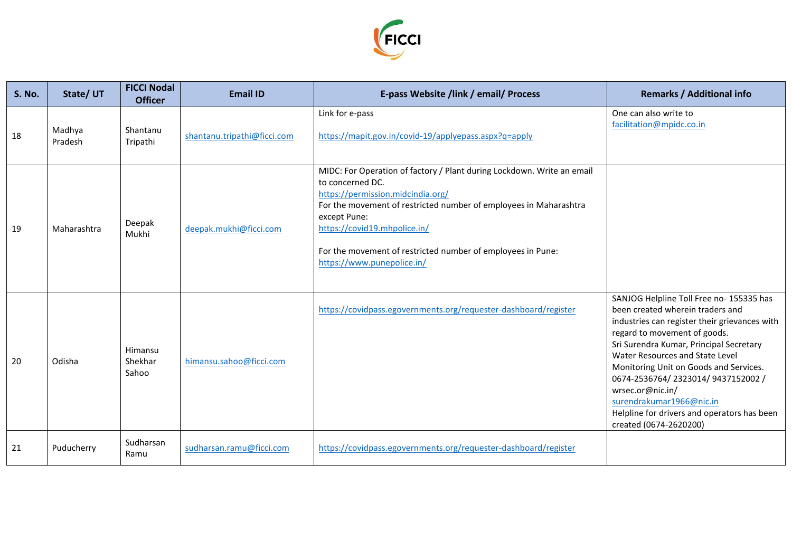

| <b>S. No.</b> | State/UT          | <b>FICCI Nodal</b><br><b>Officer</b> | <b>Email ID</b>             | E-pass Website /link / email/ Process                                                                                                                                                                                                                                                                                                             | <b>Remarks / Additional info</b>                                                                                                                                                                                                                                                                                                                                                                                                                   |
|---------------|-------------------|--------------------------------------|-----------------------------|---------------------------------------------------------------------------------------------------------------------------------------------------------------------------------------------------------------------------------------------------------------------------------------------------------------------------------------------------|----------------------------------------------------------------------------------------------------------------------------------------------------------------------------------------------------------------------------------------------------------------------------------------------------------------------------------------------------------------------------------------------------------------------------------------------------|
| 18            | Madhya<br>Pradesh | Shantanu<br>Tripathi                 | shantanu.tripathi@ficci.com | Link for e-pass<br>https://mapit.gov.in/covid-19/applyepass.aspx?q=apply                                                                                                                                                                                                                                                                          | One can also write to<br>facilitation@mpidc.co.in                                                                                                                                                                                                                                                                                                                                                                                                  |
| 19            | Maharashtra       | Deepak<br>Mukhi                      | deepak.mukhi@ficci.com      | MIDC: For Operation of factory / Plant during Lockdown. Write an email<br>to concerned DC.<br>https://permission.midcindia.org/<br>For the movement of restricted number of employees in Maharashtra<br>except Pune:<br>https://covid19.mhpolice.in/<br>For the movement of restricted number of employees in Pune:<br>https://www.punepolice.in/ |                                                                                                                                                                                                                                                                                                                                                                                                                                                    |
| 20            | Odisha            | Himansu<br>Shekhar<br>Sahoo          | himansu.sahoo@ficci.com     | https://covidpass.egovernments.org/requester-dashboard/register                                                                                                                                                                                                                                                                                   | SANJOG Helpline Toll Free no- 155335 has<br>been created wherein traders and<br>industries can register their grievances with<br>regard to movement of goods.<br>Sri Surendra Kumar, Principal Secretary<br>Water Resources and State Level<br>Monitoring Unit on Goods and Services.<br>0674-2536764/2323014/9437152002/<br>wrsec.or@nic.in/<br>surendrakumar1966@nic.in<br>Helpline for drivers and operators has been<br>created (0674-2620200) |
| 21            | Puducherry        | Sudharsan<br>Ramu                    | sudharsan.ramu@ficci.com    | https://covidpass.egovernments.org/requester-dashboard/register                                                                                                                                                                                                                                                                                   |                                                                                                                                                                                                                                                                                                                                                                                                                                                    |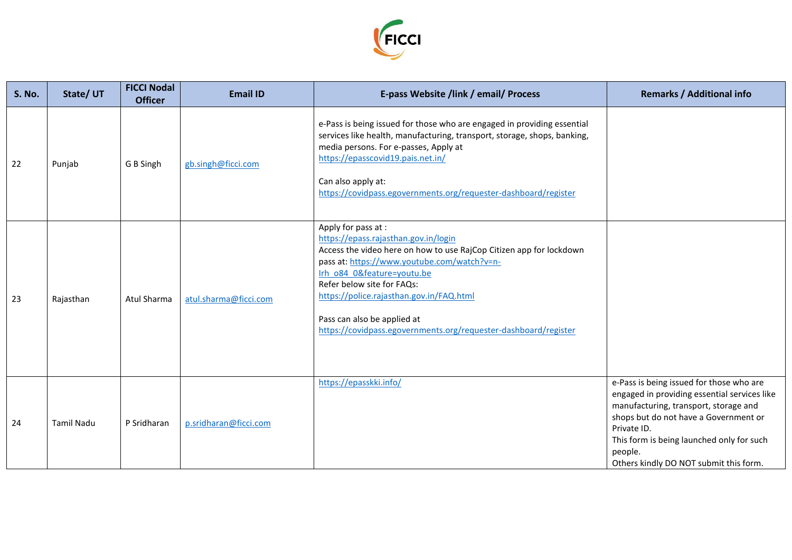

| <b>S. No.</b> | State/UT          | <b>FICCI Nodal</b><br><b>Officer</b> | <b>Email ID</b>       | E-pass Website /link / email/ Process                                                                                                                                                                                                                                                                                                                                                       | <b>Remarks / Additional info</b>                                                                                                                                                                                                                                                            |
|---------------|-------------------|--------------------------------------|-----------------------|---------------------------------------------------------------------------------------------------------------------------------------------------------------------------------------------------------------------------------------------------------------------------------------------------------------------------------------------------------------------------------------------|---------------------------------------------------------------------------------------------------------------------------------------------------------------------------------------------------------------------------------------------------------------------------------------------|
| 22            | Punjab            | G B Singh                            | gb.singh@ficci.com    | e-Pass is being issued for those who are engaged in providing essential<br>services like health, manufacturing, transport, storage, shops, banking,<br>media persons. For e-passes, Apply at<br>https://epasscovid19.pais.net.in/<br>Can also apply at:<br>https://covidpass.egovernments.org/requester-dashboard/register                                                                  |                                                                                                                                                                                                                                                                                             |
| 23            | Rajasthan         | Atul Sharma                          | atul.sharma@ficci.com | Apply for pass at :<br>https://epass.rajasthan.gov.in/login<br>Access the video here on how to use RajCop Citizen app for lockdown<br>pass at: https://www.youtube.com/watch?v=n-<br>Irh o84 0&feature=youtu.be<br>Refer below site for FAQs:<br>https://police.rajasthan.gov.in/FAQ.html<br>Pass can also be applied at<br>https://covidpass.egovernments.org/requester-dashboard/register |                                                                                                                                                                                                                                                                                             |
| 24            | <b>Tamil Nadu</b> | P Sridharan                          | p.sridharan@ficci.com | https://epasskki.info/                                                                                                                                                                                                                                                                                                                                                                      | e-Pass is being issued for those who are<br>engaged in providing essential services like<br>manufacturing, transport, storage and<br>shops but do not have a Government or<br>Private ID.<br>This form is being launched only for such<br>people.<br>Others kindly DO NOT submit this form. |